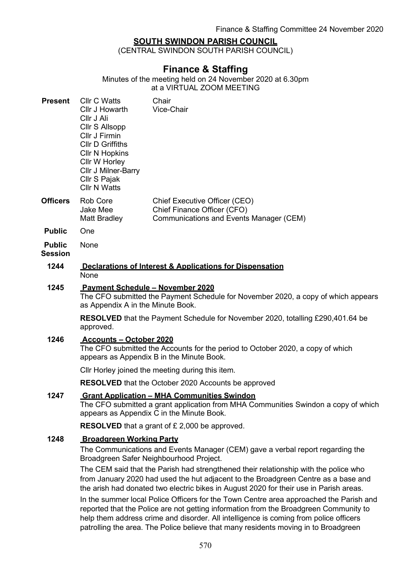# SOUTH SWINDON PARISH COUNCIL

(CENTRAL SWINDON SOUTH PARISH COUNCIL)

# Finance & Staffing

Minutes of the meeting held on 24 November 2020 at 6.30pm at a VIRTUAL ZOOM MEETING

| <b>Present</b>  | Cllr C Watts<br>Cllr J Howarth<br>Cllr J Ali<br>Cllr S Allsopp<br>Cllr J Firmin<br><b>CIIr D Griffiths</b><br><b>Cllr N Hopkins</b><br>Cllr W Horley<br>Cllr J Milner-Barry<br>Cllr S Pajak<br>Cllr N Watts | Chair<br>Vice-Chair                                                                                     |
|-----------------|-------------------------------------------------------------------------------------------------------------------------------------------------------------------------------------------------------------|---------------------------------------------------------------------------------------------------------|
| <b>Officers</b> | Rob Core<br>Jake Mee<br><b>Matt Bradley</b>                                                                                                                                                                 | Chief Executive Officer (CEO)<br>Chief Finance Officer (CFO)<br>Communications and Events Manager (CEM) |
| <b>Duklia</b>   | $\bigcap_{n\geq n}$                                                                                                                                                                                         |                                                                                                         |

- Public One
- Public None

# **Session**

#### 1244 Declarations of Interest & Applications for Dispensation None

### 1245 Payment Schedule – November 2020

The CFO submitted the Payment Schedule for November 2020, a copy of which appears as Appendix A in the Minute Book.

RESOLVED that the Payment Schedule for November 2020, totalling £290,401.64 be approved.

#### 1246 Accounts – October 2020

The CFO submitted the Accounts for the period to October 2020, a copy of which appears as Appendix B in the Minute Book.

Cllr Horley joined the meeting during this item.

RESOLVED that the October 2020 Accounts be approved

## 1247 Grant Application - MHA Communities Swindon

The CFO submitted a grant application from MHA Communities Swindon a copy of which appears as Appendix C in the Minute Book.

RESOLVED that a grant of £ 2,000 be approved.

#### 1248 Broadgreen Working Party

The Communications and Events Manager (CEM) gave a verbal report regarding the Broadgreen Safer Neighbourhood Project.

The CEM said that the Parish had strengthened their relationship with the police who from January 2020 had used the hut adjacent to the Broadgreen Centre as a base and the arish had donated two electric bikes in August 2020 for their use in Parish areas.

In the summer local Police Officers for the Town Centre area approached the Parish and reported that the Police are not getting information from the Broadgreen Community to help them address crime and disorder. All intelligence is coming from police officers patrolling the area. The Police believe that many residents moving in to Broadgreen